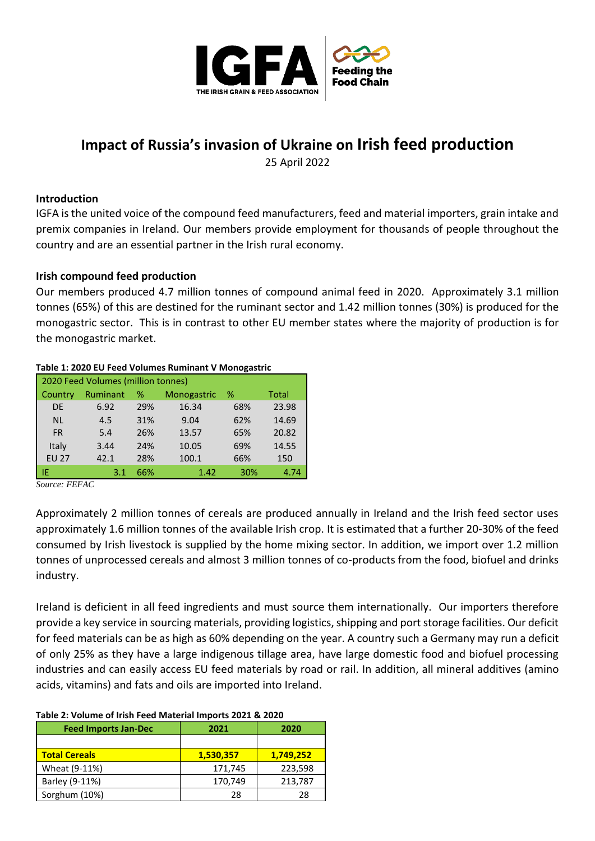

# **Impact of Russia's invasion of Ukraine on Irish feed production**

25 April 2022

## **Introduction**

IGFA is the united voice of the compound feed manufacturers, feed and material importers, grain intake and premix companies in Ireland. Our members provide employment for thousands of people throughout the country and are an essential partner in the Irish rural economy.

# **Irish compound feed production**

Our members produced 4.7 million tonnes of compound animal feed in 2020. Approximately 3.1 million tonnes (65%) of this are destined for the ruminant sector and 1.42 million tonnes (30%) is produced for the monogastric sector. This is in contrast to other EU member states where the majority of production is for the monogastric market.

| Table 1: 2020 EU Feed Volumes Ruminant V Ivionogastric |          |     |             |     |              |  |
|--------------------------------------------------------|----------|-----|-------------|-----|--------------|--|
| 2020 Feed Volumes (million tonnes)                     |          |     |             |     |              |  |
| Country                                                | Ruminant | %   | Monogastric | %   | <b>Total</b> |  |
| <b>DE</b>                                              | 6.92     | 29% | 16.34       | 68% | 23.98        |  |
| <b>NL</b>                                              | 4.5      | 31% | 9.04        | 62% | 14.69        |  |
| <b>FR</b>                                              | 5.4      | 26% | 13.57       | 65% | 20.82        |  |
| Italy                                                  | 3.44     | 24% | 10.05       | 69% | 14.55        |  |
| <b>EU 27</b>                                           | 42.1     | 28% | 100.1       | 66% | 150          |  |
| ΙE                                                     | 3.1      | 66% | 1.42        | 30% | 4.74         |  |

#### **Table 1: 2020 EU Feed Volumes Ruminant V Monogastric**

*Source: FEFAC* 

Approximately 2 million tonnes of cereals are produced annually in Ireland and the Irish feed sector uses approximately 1.6 million tonnes of the available Irish crop. It is estimated that a further 20-30% of the feed consumed by Irish livestock is supplied by the home mixing sector. In addition, we import over 1.2 million tonnes of unprocessed cereals and almost 3 million tonnes of co-products from the food, biofuel and drinks industry.

Ireland is deficient in all feed ingredients and must source them internationally. Our importers therefore provide a key service in sourcing materials, providing logistics, shipping and port storage facilities. Our deficit for feed materials can be as high as 60% depending on the year. A country such a Germany may run a deficit of only 25% as they have a large indigenous tillage area, have large domestic food and biofuel processing industries and can easily access EU feed materials by road or rail. In addition, all mineral additives (amino acids, vitamins) and fats and oils are imported into Ireland.

| <b>Feed Imports Jan-Dec</b> | 2021      | 2020      |  |  |  |
|-----------------------------|-----------|-----------|--|--|--|
|                             |           |           |  |  |  |
| <b>Total Cereals</b>        | 1,530,357 | 1,749,252 |  |  |  |
| Wheat (9-11%)               | 171,745   | 223,598   |  |  |  |
| Barley (9-11%)              | 170,749   | 213,787   |  |  |  |
| Sorghum (10%)               | 28        | 28        |  |  |  |

### **Table 2: Volume of Irish Feed Material Imports 2021 & 2020**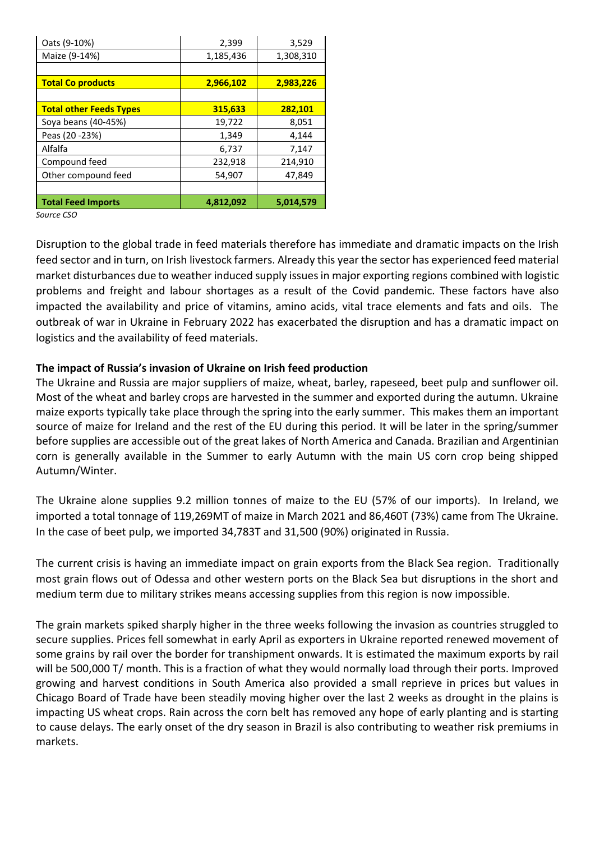| Oats (9-10%)                   | 2,399     | 3,529     |
|--------------------------------|-----------|-----------|
| Maize (9-14%)                  | 1,185,436 | 1,308,310 |
|                                |           |           |
| <b>Total Co products</b>       | 2,966,102 | 2,983,226 |
|                                |           |           |
| <b>Total other Feeds Types</b> | 315,633   | 282,101   |
| Soya beans (40-45%)            | 19,722    | 8,051     |
| Peas (20 - 23%)                | 1,349     | 4,144     |
| Alfalfa                        | 6,737     | 7,147     |
| Compound feed                  | 232,918   | 214,910   |
| Other compound feed            | 54,907    | 47,849    |
|                                |           |           |
| <b>Total Feed Imports</b>      | 4,812,092 | 5,014,579 |

*Source CSO*

Disruption to the global trade in feed materials therefore has immediate and dramatic impacts on the Irish feed sector and in turn, on Irish livestock farmers. Already this year the sector has experienced feed material market disturbances due to weather induced supply issues in major exporting regions combined with logistic problems and freight and labour shortages as a result of the Covid pandemic. These factors have also impacted the availability and price of vitamins, amino acids, vital trace elements and fats and oils. The outbreak of war in Ukraine in February 2022 has exacerbated the disruption and has a dramatic impact on logistics and the availability of feed materials.

# **The impact of Russia's invasion of Ukraine on Irish feed production**

The Ukraine and Russia are major suppliers of maize, wheat, barley, rapeseed, beet pulp and sunflower oil. Most of the wheat and barley crops are harvested in the summer and exported during the autumn. Ukraine maize exports typically take place through the spring into the early summer. This makes them an important source of maize for Ireland and the rest of the EU during this period. It will be later in the spring/summer before supplies are accessible out of the great lakes of North America and Canada. Brazilian and Argentinian corn is generally available in the Summer to early Autumn with the main US corn crop being shipped Autumn/Winter.

The Ukraine alone supplies 9.2 million tonnes of maize to the EU (57% of our imports). In Ireland, we imported a total tonnage of 119,269MT of maize in March 2021 and 86,460T (73%) came from The Ukraine. In the case of beet pulp, we imported 34,783T and 31,500 (90%) originated in Russia.

The current crisis is having an immediate impact on grain exports from the Black Sea region. Traditionally most grain flows out of Odessa and other western ports on the Black Sea but disruptions in the short and medium term due to military strikes means accessing supplies from this region is now impossible.

The grain markets spiked sharply higher in the three weeks following the invasion as countries struggled to secure supplies. Prices fell somewhat in early April as exporters in Ukraine reported renewed movement of some grains by rail over the border for transhipment onwards. It is estimated the maximum exports by rail will be 500,000 T/ month. This is a fraction of what they would normally load through their ports. Improved growing and harvest conditions in South America also provided a small reprieve in prices but values in Chicago Board of Trade have been steadily moving higher over the last 2 weeks as drought in the plains is impacting US wheat crops. Rain across the corn belt has removed any hope of early planting and is starting to cause delays. The early onset of the dry season in Brazil is also contributing to weather risk premiums in markets.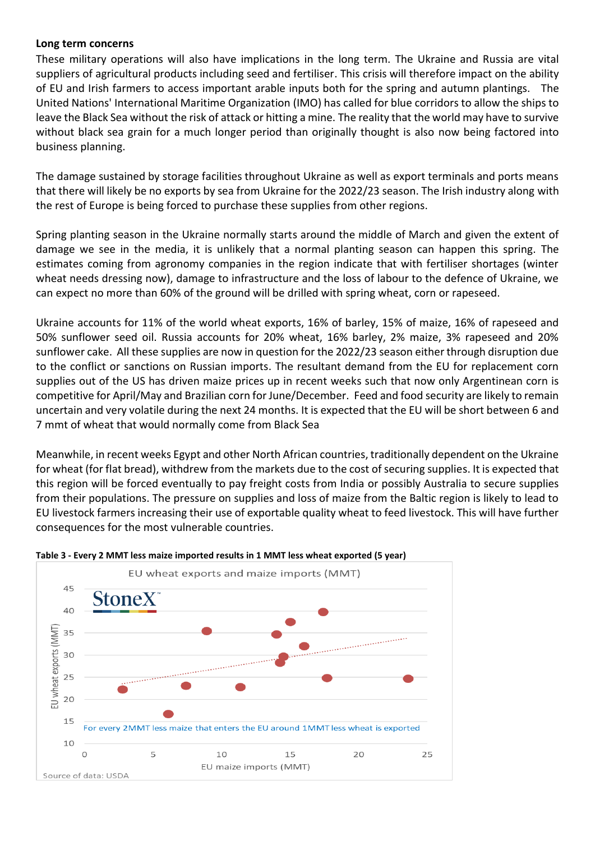### **Long term concerns**

These military operations will also have implications in the long term. The Ukraine and Russia are vital suppliers of agricultural products including seed and fertiliser. This crisis will therefore impact on the ability of EU and Irish farmers to access important arable inputs both for the spring and autumn plantings. The United Nations' International Maritime Organization (IMO) has called for blue corridors to allow the ships to leave the Black Sea without the risk of attack or hitting a mine. The reality that the world may have to survive without black sea grain for a much longer period than originally thought is also now being factored into business planning.

The damage sustained by storage facilities throughout Ukraine as well as export terminals and ports means that there will likely be no exports by sea from Ukraine for the 2022/23 season. The Irish industry along with the rest of Europe is being forced to purchase these supplies from other regions.

Spring planting season in the Ukraine normally starts around the middle of March and given the extent of damage we see in the media, it is unlikely that a normal planting season can happen this spring. The estimates coming from agronomy companies in the region indicate that with fertiliser shortages (winter wheat needs dressing now), damage to infrastructure and the loss of labour to the defence of Ukraine, we can expect no more than 60% of the ground will be drilled with spring wheat, corn or rapeseed.

Ukraine accounts for 11% of the world wheat exports, 16% of barley, 15% of maize, 16% of rapeseed and 50% sunflower seed oil. Russia accounts for 20% wheat, 16% barley, 2% maize, 3% rapeseed and 20% sunflower cake. All these supplies are now in question for the 2022/23 season either through disruption due to the conflict or sanctions on Russian imports. The resultant demand from the EU for replacement corn supplies out of the US has driven maize prices up in recent weeks such that now only Argentinean corn is competitive for April/May and Brazilian corn for June/December. Feed and food security are likely to remain uncertain and very volatile during the next 24 months. It is expected that the EU will be short between 6 and 7 mmt of wheat that would normally come from Black Sea

Meanwhile, in recent weeks Egypt and other North African countries, traditionally dependent on the Ukraine for wheat (for flat bread), withdrew from the markets due to the cost of securing supplies. It is expected that this region will be forced eventually to pay freight costs from India or possibly Australia to secure supplies from their populations. The pressure on supplies and loss of maize from the Baltic region is likely to lead to EU livestock farmers increasing their use of exportable quality wheat to feed livestock. This will have further consequences for the most vulnerable countries.



#### **Table 3 - Every 2 MMT less maize imported results in 1 MMT less wheat exported (5 year)**